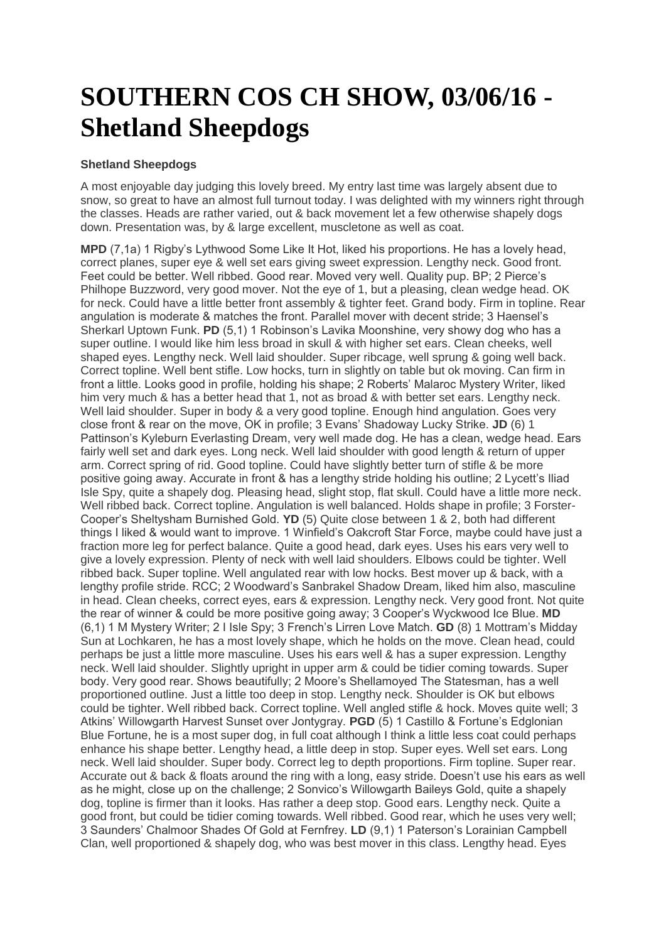## **SOUTHERN COS CH SHOW, 03/06/16 - Shetland Sheepdogs**

## **Shetland Sheepdogs**

A most enjoyable day judging this lovely breed. My entry last time was largely absent due to snow, so great to have an almost full turnout today. I was delighted with my winners right through the classes. Heads are rather varied, out & back movement let a few otherwise shapely dogs down. Presentation was, by & large excellent, muscletone as well as coat.

**MPD** (7,1a) 1 Rigby's Lythwood Some Like It Hot, liked his proportions. He has a lovely head, correct planes, super eye & well set ears giving sweet expression. Lengthy neck. Good front. Feet could be better. Well ribbed. Good rear. Moved very well. Quality pup. BP; 2 Pierce's Philhope Buzzword, very good mover. Not the eye of 1, but a pleasing, clean wedge head. OK for neck. Could have a little better front assembly & tighter feet. Grand body. Firm in topline. Rear angulation is moderate & matches the front. Parallel mover with decent stride; 3 Haensel's Sherkarl Uptown Funk. **PD** (5,1) 1 Robinson's Lavika Moonshine, very showy dog who has a super outline. I would like him less broad in skull & with higher set ears. Clean cheeks, well shaped eyes. Lengthy neck. Well laid shoulder. Super ribcage, well sprung & going well back. Correct topline. Well bent stifle. Low hocks, turn in slightly on table but ok moving. Can firm in front a little. Looks good in profile, holding his shape; 2 Roberts' Malaroc Mystery Writer, liked him very much & has a better head that 1, not as broad & with better set ears. Lengthy neck. Well laid shoulder. Super in body & a very good topline. Enough hind angulation. Goes very close front & rear on the move, OK in profile; 3 Evans' Shadoway Lucky Strike. **JD** (6) 1 Pattinson's Kyleburn Everlasting Dream, very well made dog. He has a clean, wedge head. Ears fairly well set and dark eyes. Long neck. Well laid shoulder with good length & return of upper arm. Correct spring of rid. Good topline. Could have slightly better turn of stifle & be more positive going away. Accurate in front & has a lengthy stride holding his outline; 2 Lycett's Iliad Isle Spy, quite a shapely dog. Pleasing head, slight stop, flat skull. Could have a little more neck. Well ribbed back. Correct topline. Angulation is well balanced. Holds shape in profile; 3 Forster-Cooper's Sheltysham Burnished Gold. **YD** (5) Quite close between 1 & 2, both had different things I liked & would want to improve. 1 Winfield's Oakcroft Star Force, maybe could have just a fraction more leg for perfect balance. Quite a good head, dark eyes. Uses his ears very well to give a lovely expression. Plenty of neck with well laid shoulders. Elbows could be tighter. Well ribbed back. Super topline. Well angulated rear with low hocks. Best mover up & back, with a lengthy profile stride. RCC; 2 Woodward's Sanbrakel Shadow Dream, liked him also, masculine in head. Clean cheeks, correct eyes, ears & expression. Lengthy neck. Very good front. Not quite the rear of winner & could be more positive going away; 3 Cooper's Wyckwood Ice Blue. **MD** (6,1) 1 M Mystery Writer; 2 I Isle Spy; 3 French's Lirren Love Match. **GD** (8) 1 Mottram's Midday Sun at Lochkaren, he has a most lovely shape, which he holds on the move. Clean head, could perhaps be just a little more masculine. Uses his ears well & has a super expression. Lengthy neck. Well laid shoulder. Slightly upright in upper arm & could be tidier coming towards. Super body. Very good rear. Shows beautifully; 2 Moore's Shellamoyed The Statesman, has a well proportioned outline. Just a little too deep in stop. Lengthy neck. Shoulder is OK but elbows could be tighter. Well ribbed back. Correct topline. Well angled stifle & hock. Moves quite well; 3 Atkins' Willowgarth Harvest Sunset over Jontygray. **PGD** (5) 1 Castillo & Fortune's Edglonian Blue Fortune, he is a most super dog, in full coat although I think a little less coat could perhaps enhance his shape better. Lengthy head, a little deep in stop. Super eyes. Well set ears. Long neck. Well laid shoulder. Super body. Correct leg to depth proportions. Firm topline. Super rear. Accurate out & back & floats around the ring with a long, easy stride. Doesn't use his ears as well as he might, close up on the challenge; 2 Sonvico's Willowgarth Baileys Gold, quite a shapely dog, topline is firmer than it looks. Has rather a deep stop. Good ears. Lengthy neck. Quite a good front, but could be tidier coming towards. Well ribbed. Good rear, which he uses very well; 3 Saunders' Chalmoor Shades Of Gold at Fernfrey. **LD** (9,1) 1 Paterson's Lorainian Campbell Clan, well proportioned & shapely dog, who was best mover in this class. Lengthy head. Eyes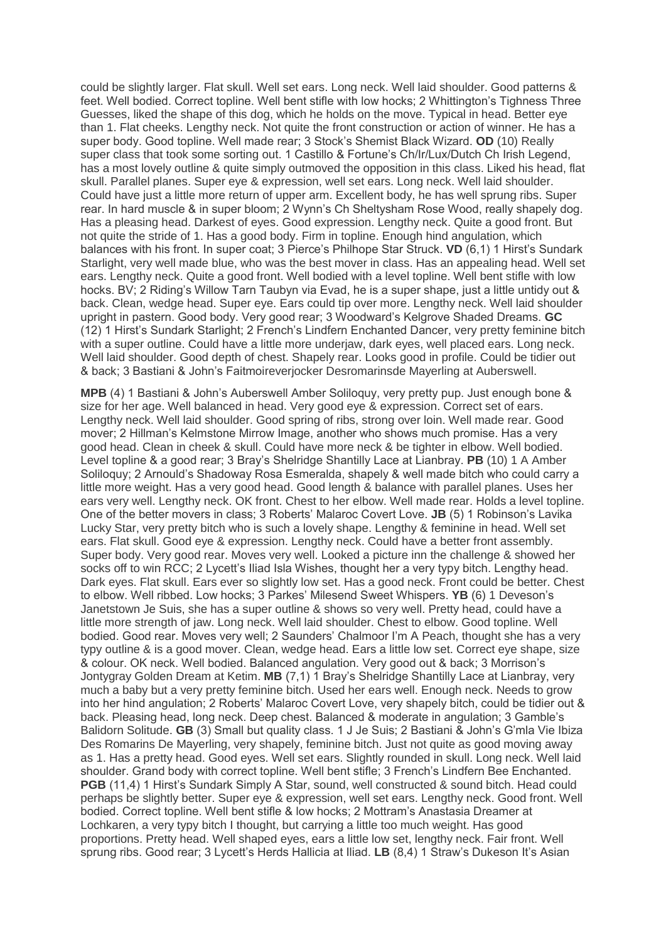could be slightly larger. Flat skull. Well set ears. Long neck. Well laid shoulder. Good patterns & feet. Well bodied. Correct topline. Well bent stifle with low hocks; 2 Whittington's Tighness Three Guesses, liked the shape of this dog, which he holds on the move. Typical in head. Better eye than 1. Flat cheeks. Lengthy neck. Not quite the front construction or action of winner. He has a super body. Good topline. Well made rear; 3 Stock's Shemist Black Wizard. **OD** (10) Really super class that took some sorting out. 1 Castillo & Fortune's Ch/Ir/Lux/Dutch Ch Irish Legend, has a most lovely outline & quite simply outmoved the opposition in this class. Liked his head, flat skull. Parallel planes. Super eye & expression, well set ears. Long neck. Well laid shoulder. Could have just a little more return of upper arm. Excellent body, he has well sprung ribs. Super rear. In hard muscle & in super bloom; 2 Wynn's Ch Sheltysham Rose Wood, really shapely dog. Has a pleasing head. Darkest of eyes. Good expression. Lengthy neck. Quite a good front. But not quite the stride of 1. Has a good body. Firm in topline. Enough hind angulation, which balances with his front. In super coat; 3 Pierce's Philhope Star Struck. **VD** (6,1) 1 Hirst's Sundark Starlight, very well made blue, who was the best mover in class. Has an appealing head. Well set ears. Lengthy neck. Quite a good front. Well bodied with a level topline. Well bent stifle with low hocks. BV; 2 Riding's Willow Tarn Taubyn via Evad, he is a super shape, just a little untidy out & back. Clean, wedge head. Super eye. Ears could tip over more. Lengthy neck. Well laid shoulder upright in pastern. Good body. Very good rear; 3 Woodward's Kelgrove Shaded Dreams. **GC** (12) 1 Hirst's Sundark Starlight; 2 French's Lindfern Enchanted Dancer, very pretty feminine bitch with a super outline. Could have a little more underjaw, dark eyes, well placed ears. Long neck. Well laid shoulder. Good depth of chest. Shapely rear. Looks good in profile. Could be tidier out & back; 3 Bastiani & John's Faitmoireverjocker Desromarinsde Mayerling at Auberswell.

**MPB** (4) 1 Bastiani & John's Auberswell Amber Soliloquy, very pretty pup. Just enough bone & size for her age. Well balanced in head. Very good eye & expression. Correct set of ears. Lengthy neck. Well laid shoulder. Good spring of ribs, strong over loin. Well made rear. Good mover; 2 Hillman's Kelmstone Mirrow Image, another who shows much promise. Has a very good head. Clean in cheek & skull. Could have more neck & be tighter in elbow. Well bodied. Level topline & a good rear; 3 Bray's Shelridge Shantilly Lace at Lianbray. **PB** (10) 1 A Amber Soliloquy; 2 Arnould's Shadoway Rosa Esmeralda, shapely & well made bitch who could carry a little more weight. Has a very good head. Good length & balance with parallel planes. Uses her ears very well. Lengthy neck. OK front. Chest to her elbow. Well made rear. Holds a level topline. One of the better movers in class; 3 Roberts' Malaroc Covert Love. **JB** (5) 1 Robinson's Lavika Lucky Star, very pretty bitch who is such a lovely shape. Lengthy & feminine in head. Well set ears. Flat skull. Good eye & expression. Lengthy neck. Could have a better front assembly. Super body. Very good rear. Moves very well. Looked a picture inn the challenge & showed her socks off to win RCC; 2 Lycett's Iliad Isla Wishes, thought her a very typy bitch. Lengthy head. Dark eyes. Flat skull. Ears ever so slightly low set. Has a good neck. Front could be better. Chest to elbow. Well ribbed. Low hocks; 3 Parkes' Milesend Sweet Whispers. **YB** (6) 1 Deveson's Janetstown Je Suis, she has a super outline & shows so very well. Pretty head, could have a little more strength of jaw. Long neck. Well laid shoulder. Chest to elbow. Good topline. Well bodied. Good rear. Moves very well; 2 Saunders' Chalmoor I'm A Peach, thought she has a very typy outline & is a good mover. Clean, wedge head. Ears a little low set. Correct eye shape, size & colour. OK neck. Well bodied. Balanced angulation. Very good out & back; 3 Morrison's Jontygray Golden Dream at Ketim. **MB** (7,1) 1 Bray's Shelridge Shantilly Lace at Lianbray, very much a baby but a very pretty feminine bitch. Used her ears well. Enough neck. Needs to grow into her hind angulation; 2 Roberts' Malaroc Covert Love, very shapely bitch, could be tidier out & back. Pleasing head, long neck. Deep chest. Balanced & moderate in angulation; 3 Gamble's Balidorn Solitude. **GB** (3) Small but quality class. 1 J Je Suis; 2 Bastiani & John's G'mla Vie Ibiza Des Romarins De Mayerling, very shapely, feminine bitch. Just not quite as good moving away as 1. Has a pretty head. Good eyes. Well set ears. Slightly rounded in skull. Long neck. Well laid shoulder. Grand body with correct topline. Well bent stifle; 3 French's Lindfern Bee Enchanted. **PGB** (11,4) 1 Hirst's Sundark Simply A Star, sound, well constructed & sound bitch. Head could perhaps be slightly better. Super eye & expression, well set ears. Lengthy neck. Good front. Well bodied. Correct topline. Well bent stifle & low hocks; 2 Mottram's Anastasia Dreamer at Lochkaren, a very typy bitch I thought, but carrying a little too much weight. Has good proportions. Pretty head. Well shaped eyes, ears a little low set, lengthy neck. Fair front. Well sprung ribs. Good rear; 3 Lycett's Herds Hallicia at Iliad. **LB** (8,4) 1 Straw's Dukeson It's Asian